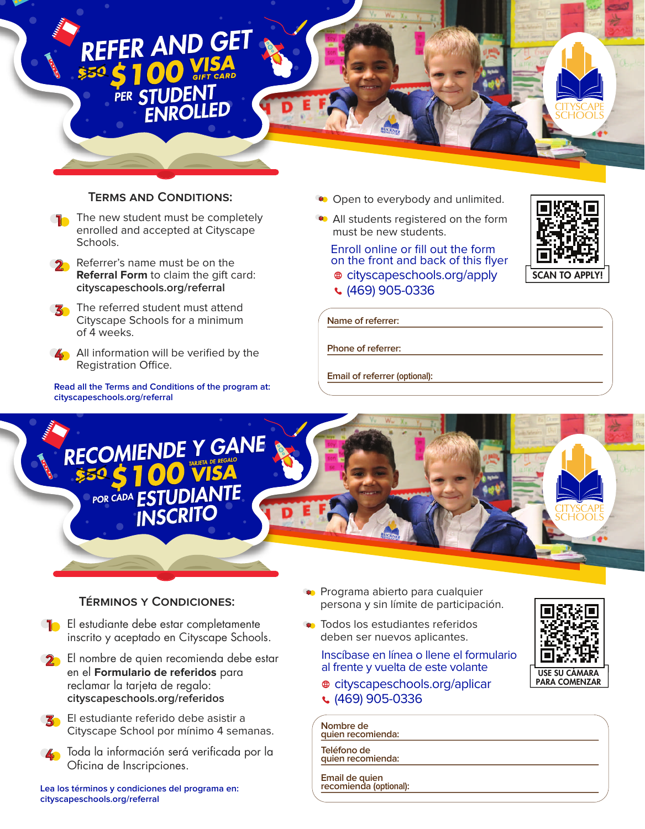## REFER AND GET PER STUDENT

## **TERMS AND CONDITIONS:**

- The new student must be completely enrolled and accepted at Cityscape Schools.
- Referrer's name must be on the **Referral Form** to claim the gift card: **cityscapeschools.org/referral**
- The referred student must attend Cityscape Schools for a minimum of 4 weeks.
- **A** All information will be verified by the Registration Office.

**Read all the Terms and Conditions of the program at: cityscapeschools.org/referral**

- **Open to everybody and unlimited.**
- All students registered on the form must be new students.

cityscapeschools.org/apply Enroll online or fill out the form on the front and back of this flyer (469) 905-0336



**Name of referrer:**

**Phone of referrer:**

**Email of referrer (optional):**



## **TÉRMINOS Y CONDICIONES:**

- **F** El estudiante debe estar completamente inscrito y aceptado en Cityscape Schools.
- **D** El nombre de quien recomienda debe estar en el **Formulario de referidos** para reclamar la tarjeta de regalo: **cityscapeschools.org/referidos**
- **K** El estudiante referido debe asistir a Cityscape School por mínimo 4 semanas.
- Toda la información será verificada por la Oficina de Inscripciones.

**Lea los términos y condiciones del programa en: cityscapeschools.org/referral**

- **Programa abierto para cualquier** persona y sin límite de participación.
- **\*** Todos los estudiantes referidos deben ser nuevos aplicantes.
	- Inscíbase en línea o llene el formulario al frente y vuelta de este volante
	- cityscapeschools.org/aplicar
	- $(469)$  905-0336

**Nombre de quien recomienda:**

**Teléfono de quien recomienda:**

**Email de quien recomienda (optional):**